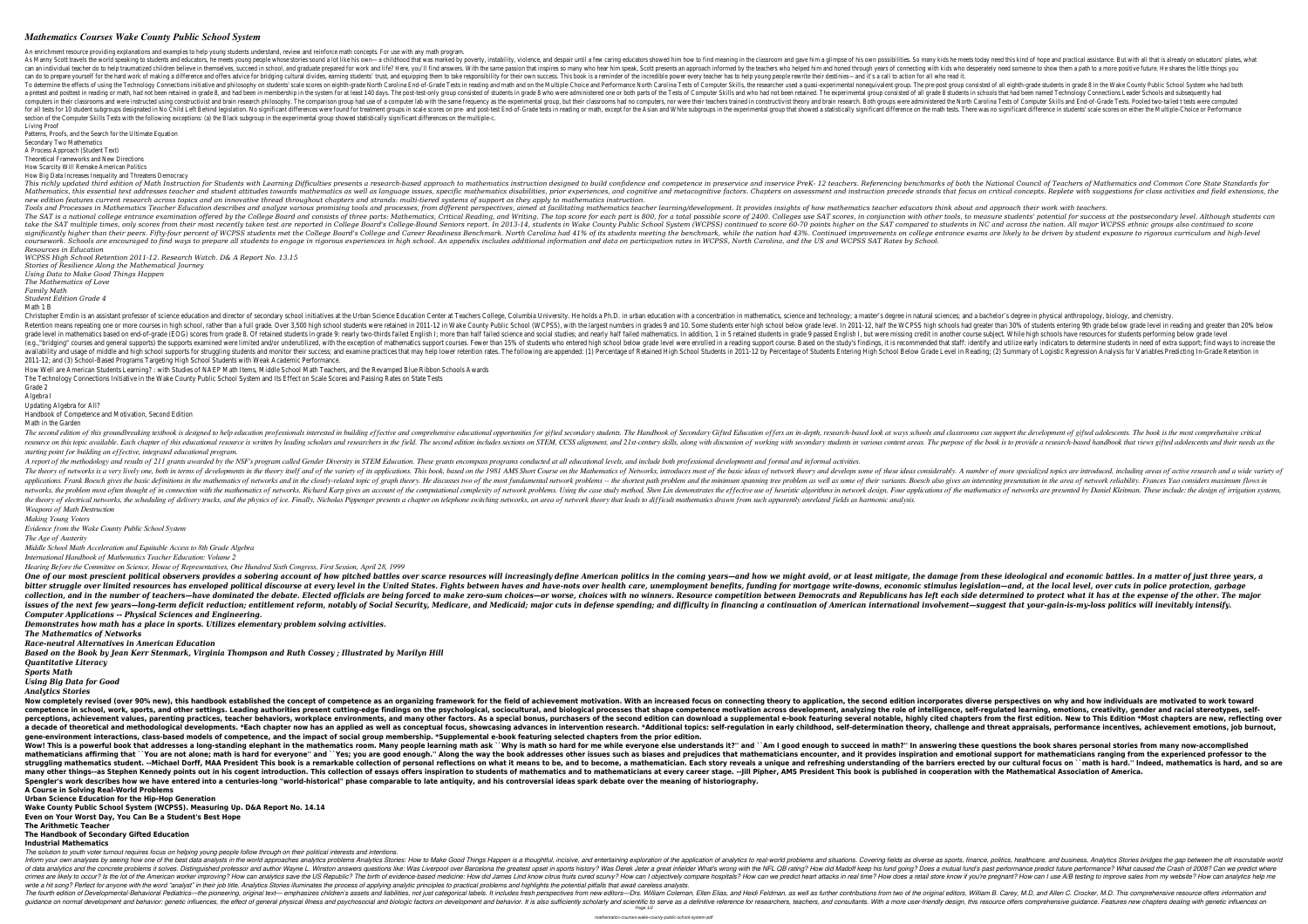## *Mathematics Courses Wake County Public School System*

An enrichment resource providing explanations and examples to help young students understand, review and reinforce math concepts. For use with any math program. As Manny Scott travels the world speaking to students and educators, he meets young people whose stories sound a lot like his own—a childhood that was marked by poverty, instability, violence, and despair until a few carin can an individual teacher do to help traumatized children believe in themselves, succeed in school, and graduate prepared for work and life? Here, you'll find answers. With the same passion that inspires so many who hear h can do to prepare yourself for the hard work of making a difference and offers advice for bridging cultural divides, earning students' trust, and equipping them to take responsibility for their own success. This book is a To determine the effects of using the Technology Connections initiative and philosophy on students' scale scores on eighth-grade North Carolina Tests of Computer Skills, the researcher used a quasi-experimental nonequivale a pretest and posttest in reading or math, had not been retained in grade 8, and had been in membership in the system for at least 140 days. The post-test-only group consisted of students in grade 8 who were administered o computers in their classrooms and were instructed using constructivist and brain research philosophy. The comparison group had use of a computers, nor were their teachers trained in constructivist theory and brain research for all tests for 10 student subgroups designated in No Child Left Behind legislation. No significant differences were found for treatment group that showed a statistically significant difference on the math tests. There w section of the Computer Skills Tests with the following exceptions: (a) the Black subgroup in the experimental group showed statistically significant differences on the multiple-c. Living Proof

This richly updated third edition of Math Instruction for Students with Learning Difficulties presents a research-based approach to mathematics instruction designed to build confidence and inservice PreK- 12 teachers. Refe Mathematics, this essential text addresses teacher and student attitudes towards mathematics as well as language issues, specific mathematics disabilities, prior experiences, and cognitive factors. Chapters on assessment a *new edition features current research across topics and an innovative thread throughout chapters and strands: multi-tiered systems of support as they apply to mathematics instruction.* Tools and Processes in Mathematics Teacher Education describes and analyze various promising tools and processes, from different perspectives, aimed at facilitating mathematics teacher learning/development. It provides ins The SAT is a national college entrance examination offered by the College Board and consists of three parts: Mathematics, Critical Reading, and Writing. The top score for each part is 800, for a total possible score for ea take the SAT multiple times, only scores from their most recently taken test are reported in College Board's College Board's College Board's College Board's College Board's College Board's College-Bound Seniors report. In significantly higher than their peers. Fifty-four percent of WCPSS students met the College Board's College and Career Readiness Benchmark. North Carolina had 41% of its students on college entrance exams are likely to be coursework. Schools are encouraged to find ways to prepare all students to engage in rigorous experiences in high school. An appendix includes additional information and data on participation rates in WCPSS, North Carolina *Resources in Education*

Patterns, Proofs, and the Search for the Ultimate Equation

Secondary Two Mathematics

A Process Approach (Student Text)

Theoretical Frameworks and New Directions How Scarcity Will Remake American Politics

How Big Data Increases Inequality and Threatens Democracy

Christopher Emdin is an assistant professor of science education and director of secondary school initiatives at the Urban Science Education in mathematics, science and technology; a master's degree in natural sciences; an Retention means repeating one or more courses in high school, rather than a full grade. Over 3,500 high school students were retained in 2011-12 in Wake County Public School (WCPSS), with the largest numbers in grades 9 an grade level in mathematics based on end-of-grade (EOG) scores from grade 8. Of retained students in grade 9: nearly two-thirds failed Science and social studies; and nearly half failed mathematics. In addition, 1 in 5 reta (e.g.,"bridging" courses and general supports) the supports examined were limited and/or underutilized, with the exception of mathematics support course. Based on the study's findings, it is recommended that staff: identif availability and usage of middle and high school supports for struggling students and monitor their success; and examine practices that may help lower retention rates. The following are appended: (1) Percentage of Students 2011-12; and (3) School-Based Programs Targeting High School Students with Weak Academic Performance.

The second edition of this groundbreaking textbook is designed to help education professionals interested in building effective and comprehensive education of fers an in-depth, research-based look at ways schools and class resource on this topic available. Each chapter of this educational resource is written by leading scholars and researchers in the field. The second edition includes sections on STEM, CCSS alignment, and 21st-century skills *starting point for building an effective, integrated educational program.*

A report of the methodology and results of 211 grants awarded by the NSF's program called Gender Diversity in STEM Education. These grants encompass programs conducted at all educational levels, and include both profession The theory of networks is a very lively one, both in terms of developments in the theory itself and of the variety of its applications. This book, based on the Mathematics of Networks, introduces most of these ideas consid applications. Frank Boesch gives the basic definitions in the mathematics of networks and in the closely-related topic of graph theory. He discusses two of the minimum spanning tree problem as well as some of their variant networks, the problem most often thought of in connection with the mathematics of networks. Richard Karp gives an account of the computational complexity of network design. Four applications of the mathematics of networks the theory of electrical networks, the scheduling of delivery trucks, and the physics of ice. Finally, Nicholas Pippenger presents a chapter on telephone switching networks, an area of network theory that leads to difficul *Weapons of Math Destruction*

*WCPSS High School Retention 2011-12. Research Watch. D& A Report No. 13.15 Stories of Resilience Along the Mathematical Journey*

*Using Data to Make Good Things Happen*

*The Mathematics of Love*

*Family Math Student Edition Grade 4*

Math 1 B

One of our most prescient political observers provides a sobering account of how pitched battles over scarce resources will increasingly define American politics in the coming years—and how we might avoid, or at least miti bitter struggle over limited resources has enveloped political discourse at every level in the United States. Fights between haves and have-nots over health care, unemployment benefits, funding for mortgage write-downs, ec collection, and in the number of teachers—have dominated the debate. Elected officials are being forced to make zero-sum choices—or worse, choices with no winners. Resource competition between Democrats and Republicans has issues of the next few years—long-term deficit reduction; entitlement reform, notably of Social Security, Medicare, and Medicaid; major cuts in defense spending; and difficulty in financing a continuation of American inter *Computer Applications -- Physical Sciences and Engineering.*

Now completely revised (over 90% new), this handbook established the concept of competence as an organizing framework for the field of achievement motivation. With an increased focus on connecting theory to application. Wi competence in school, work, sports, and other settings. Leading authorities present cutting-edge findings on the psychological, sociocultural, and biological processes that shape competence, self-regulated learning, emotio perceptions, achievement values, parenting practices, teacher behaviors, workplace environments, and many other factors. As a special bonus, purchasers of the second edition can download a supplemental e-book featuring sev a decade of theoretical and methodological developments. \*Each chapter now has an applied as well as conceptual focus, showcasing advances in intervention research. \*Additional topics: self-determination theory, challenge **gene-environment interactions, class-based models of competence, and the impact of social group membership. \*Supplemental e-book featuring selected chapters from the prior edition.** Wow! This is a powerful book that addresses a long-standing elephant in the mathematics room. Many people learning math ask ``Why is math so hard for me while everyone else understands it?'' and ``Am I good enough to succe mathematicians affirming that ``You are not alone; math is hard for everyone" and ``Yes; you are good enough." Along the way the book addresses other issues such as biases and prejudices that mathematicians ranging from th struggling mathematics student. --Michael Dorff, MAA President This book is a remarkable collection of personal reflections on what it means to be, and to become, a mathematician. Each story reveals a unique and refreshing many other things--as Stephen Kennedy points out in his cogent introduction. This collection of essays offers inspiration to students of mathematics and to mathematicians at every career stage. --Jill Pipher, AMS President **Spengler's work describes how we have entered into a centuries-long "world-historical" phase comparable to late antiquity, and his controversial ideas spark debate over the meaning of historiography. A Course in Solving Real-World Problems**

How Well are American Students Learning? : with Studies of NAEP Math Items, Middle School Math Teachers, and the Revamped Blue Ribbon Schools Awards The Technology Connections Initiative in the Wake County Public School System and Its Effect on Scale Scores and Passing Rates on State Tests Grade 2

Algebra I

Updating Algebra for All?

Handbook of Competence and Motivation, Second Edition

Math in the Garden

Inform your own analyses by seeing how one of the best data analysts in the world approaches analytics problems Analytics problems Analytics Stories: How to Make Good Things Happen is a thoughtful, incisive, and entertaini Istinguished professor and author Wayne L. Winston answers questions like: Was Liverpool over Barcelona the greatest upset in sports history? Was Derek Jeter a great infielder What's wrong with the NFL QB rating? Does a mu Elikely to occur? Is the lot of the American worker improving? How can analytics save the US Republic? The birth of evidence-based medicine: How does a retail store know if you're pregnant? How can I use A/B testing to imp write a hit song? Perfect for anyone with the word "analyst" in their job title, Analytics Stories illuminates the process of applying analytic principles to practical problems and highlights the potential pitfalls that aw The fourth edition of Developmental-Behavioral Pediatrics—the pioneering, original text— emphasizes children's assets and liabilities, not just categorical labels. It includes fresh perspectives from new editors, William B guidance on normal development and behavior: genetic influences, the effect of general physical illness and psychosocial and biologic factors on development and behavior. It is also sufficiently scholarly and scientific to Page 1/2

*Making Young Voters*

*Evidence from the Wake County Public School System*

*The Age of Austerity*

*Middle School Math Acceleration and Equitable Access to 8th Grade Algebra*

*International Handbook of Mathematics Teacher Education: Volume 2*

*Hearing Before the Committee on Science, House of Representatives, One Hundred Sixth Congress, First Session, April 28, 1999*

*Demonstrates how math has a place in sports. Utilizes elementary problem solving activities.*

*The Mathematics of Networks*

*Race-neutral Alternatives in American Education*

*Based on the Book by Jean Kerr Stenmark, Virginia Thompson and Ruth Cossey ; Illustrated by Marilyn Hill Quantitative Literacy*

*Sports Math*

*Using Big Data for Good*

*Analytics Stories*

**Urban Science Education for the Hip-Hop Generation**

**Wake County Public School System (WCPSS). Measuring Up. D&A Report No. 14.14**

**Even on Your Worst Day, You Can Be a Student's Best Hope**

## **The Arithmetic Teacher The Handbook of Secondary Gifted Education**

## **Industrial Mathematics**

*The solution to youth voter turnout requires focus on helping young people follow through on their political interests and intentions.*